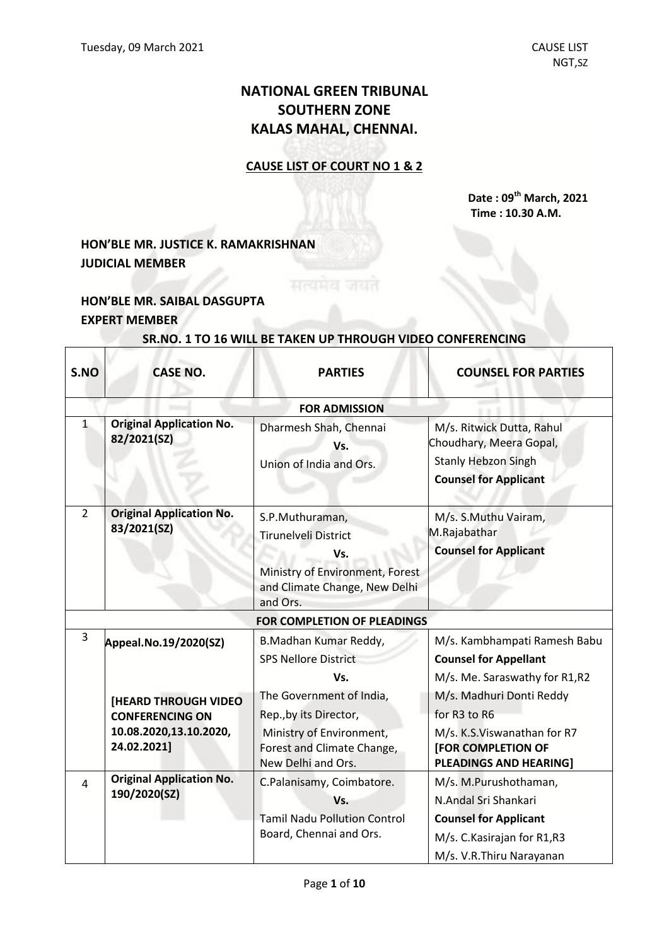# **NATIONAL GREEN TRIBUNAL SOUTHERN ZONE KALAS MAHAL, CHENNAI.**

## **CAUSE LIST OF COURT NO 1 & 2**

**Date : 09 th March, 2021 Time : 10.30 A.M.**

# **HON'BLE MR. JUSTICE K. RAMAKRISHNAN JUDICIAL MEMBER**

## **HON'BLE MR. SAIBAL DASGUPTA EXPERT MEMBER**

 $\Gamma$ 

### **SR.NO. 1 TO 16 WILL BE TAKEN UP THROUGH VIDEO CONFERENCING**

| S.NO           | <b>CASE NO.</b>                                                                                | <b>PARTIES</b>                                                                                                                     | <b>COUNSEL FOR PARTIES</b>                                                                                                               |
|----------------|------------------------------------------------------------------------------------------------|------------------------------------------------------------------------------------------------------------------------------------|------------------------------------------------------------------------------------------------------------------------------------------|
|                |                                                                                                | <b>FOR ADMISSION</b>                                                                                                               |                                                                                                                                          |
| $\mathbf{1}$   | <b>Original Application No.</b><br>82/2021(SZ)                                                 | Dharmesh Shah, Chennai<br>Vs.<br>Union of India and Ors.                                                                           | M/s. Ritwick Dutta, Rahul<br>Choudhary, Meera Gopal,<br><b>Stanly Hebzon Singh</b><br><b>Counsel for Applicant</b>                       |
| $\overline{2}$ | <b>Original Application No.</b><br>83/2021(SZ)                                                 | S.P.Muthuraman,<br>Tirunelveli District<br>Vs.<br>Ministry of Environment, Forest<br>and Climate Change, New Delhi<br>and Ors.     | M/s. S.Muthu Vairam,<br>M.Rajabathar<br><b>Counsel for Applicant</b>                                                                     |
|                |                                                                                                | <b>FOR COMPLETION OF PLEADINGS</b>                                                                                                 |                                                                                                                                          |
| 3              | Appeal.No.19/2020(SZ)                                                                          | B.Madhan Kumar Reddy,<br><b>SPS Nellore District</b><br>Vs.                                                                        | M/s. Kambhampati Ramesh Babu<br><b>Counsel for Appellant</b><br>M/s. Me. Saraswathy for R1,R2                                            |
|                | <b>[HEARD THROUGH VIDEO</b><br><b>CONFERENCING ON</b><br>10.08.2020,13.10.2020,<br>24.02.2021] | The Government of India,<br>Rep., by its Director,<br>Ministry of Environment,<br>Forest and Climate Change,<br>New Delhi and Ors. | M/s. Madhuri Donti Reddy<br>for R3 to R6<br>M/s. K.S. Viswanathan for R7<br><b>[FOR COMPLETION OF</b><br><b>PLEADINGS AND HEARING]</b>   |
| $\overline{4}$ | <b>Original Application No.</b><br>190/2020(SZ)                                                | C.Palanisamy, Coimbatore.<br>Vs.<br><b>Tamil Nadu Pollution Control</b><br>Board, Chennai and Ors.                                 | M/s. M.Purushothaman,<br>N.Andal Sri Shankari<br><b>Counsel for Applicant</b><br>M/s. C. Kasirajan for R1,R3<br>M/s. V.R.Thiru Narayanan |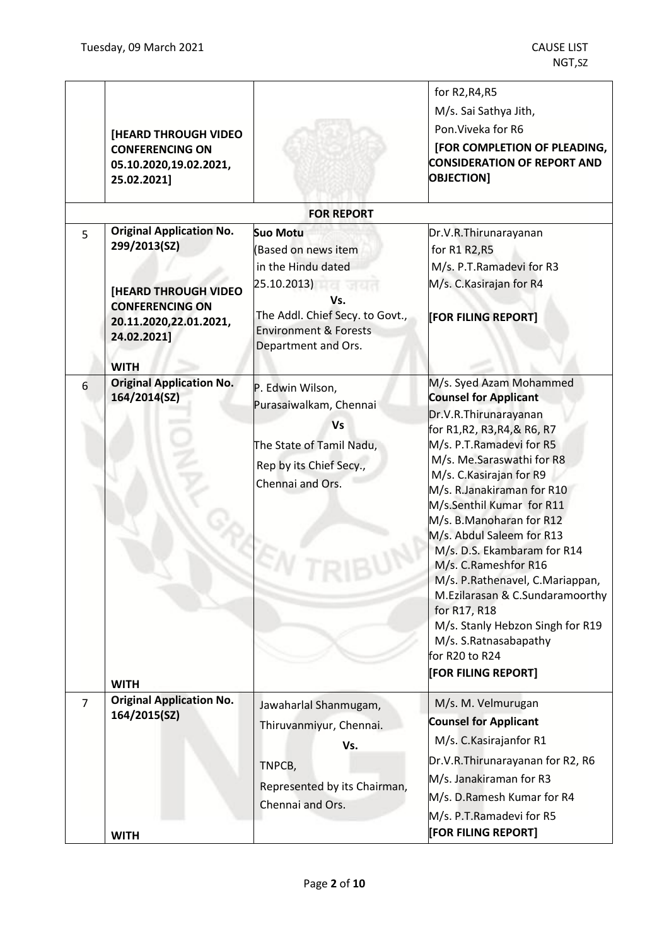|                | <b>[HEARD THROUGH VIDEO</b><br><b>CONFERENCING ON</b><br>05.10.2020,19.02.2021,<br>25.02.2021]                                                    |                                                                                                                                                                                  | for R2, R4, R5<br>M/s. Sai Sathya Jith,<br>Pon. Viveka for R6<br>[FOR COMPLETION OF PLEADING,<br><b>CONSIDERATION OF REPORT AND</b><br><b>OBJECTION]</b>                                                                                                                                                                                                                                                                                                                                                                                                                     |
|----------------|---------------------------------------------------------------------------------------------------------------------------------------------------|----------------------------------------------------------------------------------------------------------------------------------------------------------------------------------|------------------------------------------------------------------------------------------------------------------------------------------------------------------------------------------------------------------------------------------------------------------------------------------------------------------------------------------------------------------------------------------------------------------------------------------------------------------------------------------------------------------------------------------------------------------------------|
|                |                                                                                                                                                   | <b>FOR REPORT</b>                                                                                                                                                                |                                                                                                                                                                                                                                                                                                                                                                                                                                                                                                                                                                              |
| 5              | <b>Original Application No.</b><br>299/2013(SZ)<br><b>[HEARD THROUGH VIDEO</b><br><b>CONFERENCING ON</b><br>20.11.2020,22.01.2021,<br>24.02.2021] | <b>Suo Motu</b><br>(Based on news item<br>in the Hindu dated<br>25.10.2013)<br>Vs.<br>The Addl. Chief Secy. to Govt.,<br><b>Environment &amp; Forests</b><br>Department and Ors. | Dr.V.R.Thirunarayanan<br>for R1 R2, R5<br>M/s. P.T.Ramadevi for R3<br>M/s. C. Kasirajan for R4<br>[FOR FILING REPORT]                                                                                                                                                                                                                                                                                                                                                                                                                                                        |
| 6              | <b>WITH</b><br><b>Original Application No.</b><br>164/2014(SZ)<br><b>WITH</b>                                                                     | P. Edwin Wilson,<br>Purasaiwalkam, Chennai<br><b>Vs</b><br>The State of Tamil Nadu,<br>Rep by its Chief Secy.,<br>Chennai and Ors.                                               | M/s. Syed Azam Mohammed<br><b>Counsel for Applicant</b><br>Dr.V.R.Thirunarayanan<br>for R1, R2, R3, R4, & R6, R7<br>M/s. P.T.Ramadevi for R5<br>M/s. Me.Saraswathi for R8<br>M/s. C. Kasirajan for R9<br>M/s. R.Janakiraman for R10<br>M/s.Senthil Kumar for R11<br>M/s. B.Manoharan for R12<br>M/s. Abdul Saleem for R13<br>M/s. D.S. Ekambaram for R14<br>M/s. C.Rameshfor R16<br>M/s. P.Rathenavel, C.Mariappan,<br>M.Ezilarasan & C.Sundaramoorthy<br>for R17, R18<br>M/s. Stanly Hebzon Singh for R19<br>M/s. S.Ratnasabapathy<br>for R20 to R24<br>[FOR FILING REPORT] |
| $\overline{7}$ | <b>Original Application No.</b><br>164/2015(SZ)                                                                                                   | Jawaharlal Shanmugam,<br>Thiruvanmiyur, Chennai.<br>Vs.<br>TNPCB,<br>Represented by its Chairman,<br>Chennai and Ors.                                                            | M/s. M. Velmurugan<br><b>Counsel for Applicant</b><br>M/s. C. Kasirajanfor R1<br>Dr.V.R.Thirunarayanan for R2, R6<br>M/s. Janakiraman for R3<br>M/s. D.Ramesh Kumar for R4<br>M/s. P.T.Ramadevi for R5                                                                                                                                                                                                                                                                                                                                                                       |
|                | <b>WITH</b>                                                                                                                                       |                                                                                                                                                                                  | [FOR FILING REPORT]                                                                                                                                                                                                                                                                                                                                                                                                                                                                                                                                                          |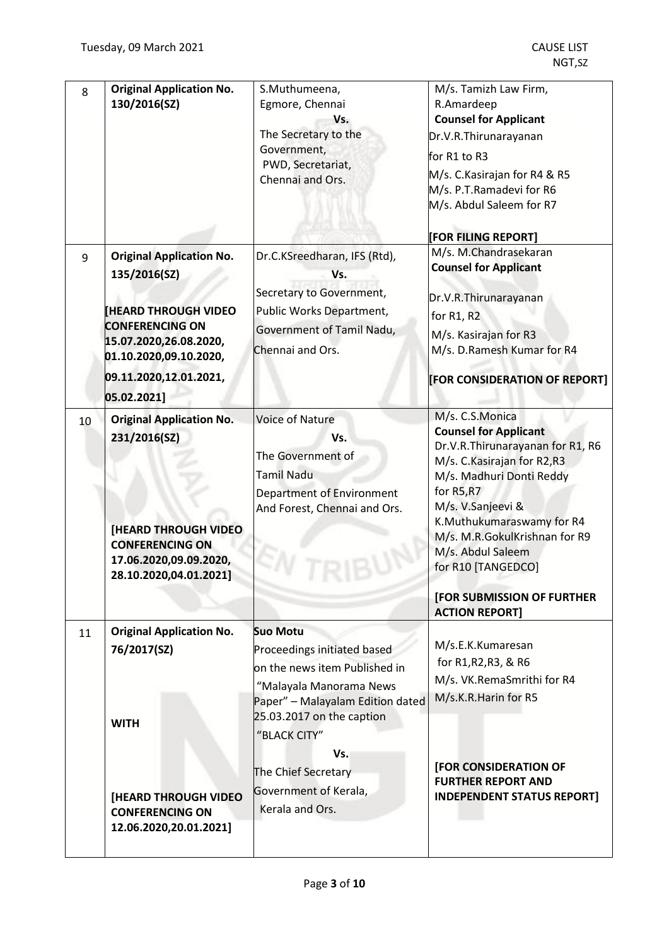$\mathsf{l}$ 

| 8  | <b>Original Application No.</b><br>130/2016(SZ)                                                                                                                                                      | S.Muthumeena,<br>Egmore, Chennai<br>Vs.<br>The Secretary to the<br>Government,<br>PWD, Secretariat,<br>Chennai and Ors.                                                                                                                                               | M/s. Tamizh Law Firm,<br>R.Amardeep<br><b>Counsel for Applicant</b><br>Dr.V.R.Thirunarayanan<br>for R1 to R3<br>M/s. C.Kasirajan for R4 & R5<br>M/s. P.T.Ramadevi for R6<br>M/s. Abdul Saleem for R7                                                                                                                    |
|----|------------------------------------------------------------------------------------------------------------------------------------------------------------------------------------------------------|-----------------------------------------------------------------------------------------------------------------------------------------------------------------------------------------------------------------------------------------------------------------------|-------------------------------------------------------------------------------------------------------------------------------------------------------------------------------------------------------------------------------------------------------------------------------------------------------------------------|
| 9  | <b>Original Application No.</b><br>135/2016(SZ)<br><b>HEARD THROUGH VIDEO</b><br><b>CONFERENCING ON</b><br>15.07.2020,26.08.2020,<br>01.10.2020,09.10.2020,<br>09.11.2020,12.01.2021,<br>05.02.2021] | Dr.C.KSreedharan, IFS (Rtd),<br>Vs.<br>Secretary to Government,<br>Public Works Department,<br>Government of Tamil Nadu,<br>Chennai and Ors.                                                                                                                          | [FOR FILING REPORT]<br>M/s. M.Chandrasekaran<br><b>Counsel for Applicant</b><br>Dr.V.R.Thirunarayanan<br>for R1, R2<br>M/s. Kasirajan for R3<br>M/s. D.Ramesh Kumar for R4<br>[FOR CONSIDERATION OF REPORT]                                                                                                             |
| 10 | <b>Original Application No.</b><br>231/2016(SZ)<br><b>[HEARD THROUGH VIDEO</b><br><b>CONFERENCING ON</b><br>17.06.2020,09.09.2020,<br>28.10.2020,04.01.2021]                                         | <b>Voice of Nature</b><br>Vs.<br>The Government of<br><b>Tamil Nadu</b><br>Department of Environment<br>And Forest, Chennai and Ors.                                                                                                                                  | M/s. C.S.Monica<br><b>Counsel for Applicant</b><br>Dr.V.R.Thirunarayanan for R1, R6<br>M/s. C. Kasirajan for R2,R3<br>M/s. Madhuri Donti Reddy<br>for R5,R7<br>M/s. V.Sanjeevi &<br>K.Muthukumaraswamy for R4<br>M/s. M.R.GokulKrishnan for R9<br>M/s. Abdul Saleem<br>for R10 [TANGEDCO]<br>[FOR SUBMISSION OF FURTHER |
| 11 | <b>Original Application No.</b><br>76/2017(SZ)<br><b>WITH</b><br><b>[HEARD THROUGH VIDEO</b><br><b>CONFERENCING ON</b><br>12.06.2020,20.01.2021]                                                     | <b>Suo Motu</b><br>Proceedings initiated based<br>on the news item Published in<br>"Malayala Manorama News<br>Paper" - Malayalam Edition dated<br>25.03.2017 on the caption<br>"BLACK CITY"<br>Vs.<br>The Chief Secretary<br>Government of Kerala,<br>Kerala and Ors. | <b>ACTION REPORT]</b><br>M/s.E.K.Kumaresan<br>for R1, R2, R3, & R6<br>M/s. VK.RemaSmrithi for R4<br>M/s.K.R.Harin for R5<br>[FOR CONSIDERATION OF<br><b>FURTHER REPORT AND</b><br><b>INDEPENDENT STATUS REPORT]</b>                                                                                                     |
|    |                                                                                                                                                                                                      |                                                                                                                                                                                                                                                                       |                                                                                                                                                                                                                                                                                                                         |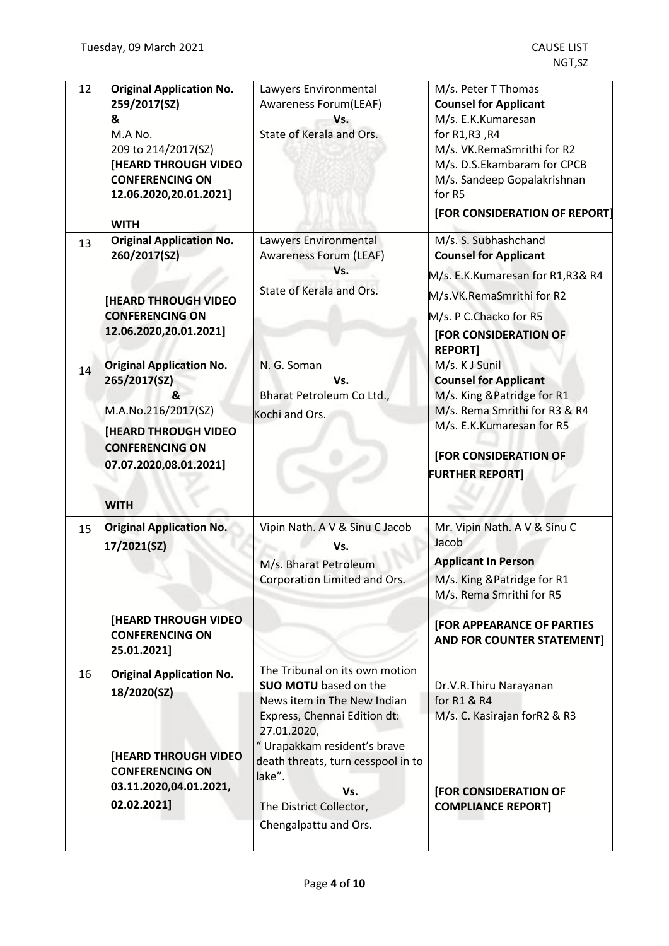| <b>Original Application No.</b><br>259/2017(SZ)<br>&<br>M.A No.<br>209 to 214/2017(SZ)<br><b>[HEARD THROUGH VIDEO</b><br><b>CONFERENCING ON</b><br>12.06.2020,20.01.2021]<br><b>WITH</b> | Lawyers Environmental<br>Awareness Forum(LEAF)<br>Vs.<br>State of Kerala and Ors.                                                                                                                                                                                                      | M/s. Peter T Thomas<br><b>Counsel for Applicant</b><br>M/s. E.K.Kumaresan<br>for R1,R3,R4<br>M/s. VK.RemaSmrithi for R2<br>M/s. D.S.Ekambaram for CPCB<br>M/s. Sandeep Gopalakrishnan<br>for R5<br>[FOR CONSIDERATION OF REPORT] |
|------------------------------------------------------------------------------------------------------------------------------------------------------------------------------------------|----------------------------------------------------------------------------------------------------------------------------------------------------------------------------------------------------------------------------------------------------------------------------------------|----------------------------------------------------------------------------------------------------------------------------------------------------------------------------------------------------------------------------------|
| <b>Original Application No.</b><br>260/2017(SZ)<br><b>HEARD THROUGH VIDEO</b><br><b>CONFERENCING ON</b><br>12.06.2020,20.01.2021]                                                        | Lawyers Environmental<br><b>Awareness Forum (LEAF)</b><br>Vs.<br>State of Kerala and Ors.                                                                                                                                                                                              | M/s. S. Subhashchand<br><b>Counsel for Applicant</b><br>M/s. E.K.Kumaresan for R1, R3& R4<br>M/s.VK.RemaSmrithi for R2<br>M/s. P C.Chacko for R5<br><b>[FOR CONSIDERATION OF</b><br><b>REPORT]</b>                               |
| <b>Original Application No.</b><br>265/2017(SZ)<br>R,<br>M.A.No.216/2017(SZ)<br><b>HEARD THROUGH VIDEO</b><br><b>CONFERENCING ON</b><br>07.07.2020,08.01.2021]<br><b>WITH</b>            | N. G. Soman<br>Vs.<br>Bharat Petroleum Co Ltd.,<br>Kochi and Ors.                                                                                                                                                                                                                      | M/s. K J Sunil<br><b>Counsel for Applicant</b><br>M/s. King & Patridge for R1<br>M/s. Rema Smrithi for R3 & R4<br>M/s. E.K.Kumaresan for R5<br>[FOR CONSIDERATION OF<br><b>FURTHER REPORT]</b>                                   |
| <b>Original Application No.</b><br>17/2021(SZ)<br><b>[HEARD THROUGH VIDEO]</b><br><b>CONFERENCING ON</b><br>25.01.2021]                                                                  | Vipin Nath. A V & Sinu C Jacob<br>Vs.<br>M/s. Bharat Petroleum<br>Corporation Limited and Ors.                                                                                                                                                                                         | Mr. Vipin Nath. A V & Sinu C<br>Jacob<br><b>Applicant In Person</b><br>M/s. King & Patridge for R1<br>M/s. Rema Smrithi for R5<br><b>[FOR APPEARANCE OF PARTIES</b><br><b>AND FOR COUNTER STATEMENT]</b>                         |
| <b>Original Application No.</b><br>18/2020(SZ)<br><b>[HEARD THROUGH VIDEO</b><br><b>CONFERENCING ON</b><br>03.11.2020,04.01.2021,<br>02.02.2021]                                         | The Tribunal on its own motion<br><b>SUO MOTU</b> based on the<br>News item in The New Indian<br>Express, Chennai Edition dt:<br>27.01.2020,<br>"Urapakkam resident's brave<br>death threats, turn cesspool in to<br>lake".<br>Vs.<br>The District Collector,<br>Chengalpattu and Ors. | Dr.V.R.Thiru Narayanan<br>for R1 & R4<br>M/s. C. Kasirajan forR2 & R3<br>[FOR CONSIDERATION OF<br><b>COMPLIANCE REPORT]</b>                                                                                                      |
|                                                                                                                                                                                          |                                                                                                                                                                                                                                                                                        |                                                                                                                                                                                                                                  |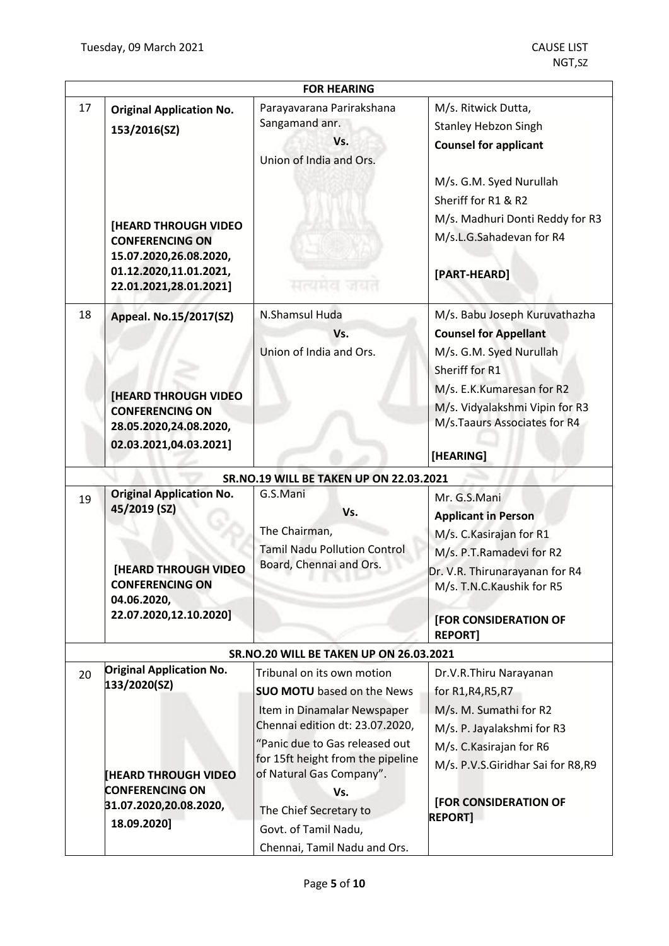|    |                                                                                                                                                                                        | <b>FOR HEARING</b>                                                                                                                                                                                                                          |                                                                                                                                                                                                                        |
|----|----------------------------------------------------------------------------------------------------------------------------------------------------------------------------------------|---------------------------------------------------------------------------------------------------------------------------------------------------------------------------------------------------------------------------------------------|------------------------------------------------------------------------------------------------------------------------------------------------------------------------------------------------------------------------|
| 17 | <b>Original Application No.</b><br>153/2016(SZ)<br><b>[HEARD THROUGH VIDEO</b><br><b>CONFERENCING ON</b><br>15.07.2020,26.08.2020,<br>01.12.2020,11.01.2021,<br>22.01.2021,28.01.2021] | Parayavarana Parirakshana<br>Sangamand anr.<br>Vs.<br>Union of India and Ors.<br>सत्यमय जयत                                                                                                                                                 | M/s. Ritwick Dutta,<br><b>Stanley Hebzon Singh</b><br><b>Counsel for applicant</b><br>M/s. G.M. Syed Nurullah<br>Sheriff for R1 & R2<br>M/s. Madhuri Donti Reddy for R3<br>M/s.L.G.Sahadevan for R4<br>[PART-HEARD]    |
| 18 | Appeal. No.15/2017(SZ)<br><b>[HEARD THROUGH VIDEO</b><br><b>CONFERENCING ON</b><br>28.05.2020,24.08.2020,<br>02.03.2021,04.03.2021]                                                    | N.Shamsul Huda<br>Vs.<br>Union of India and Ors.                                                                                                                                                                                            | M/s. Babu Joseph Kuruvathazha<br><b>Counsel for Appellant</b><br>M/s. G.M. Syed Nurullah<br>Sheriff for R1<br>M/s. E.K.Kumaresan for R2<br>M/s. Vidyalakshmi Vipin for R3<br>M/s.Taaurs Associates for R4<br>[HEARING] |
|    |                                                                                                                                                                                        | SR.NO.19 WILL BE TAKEN UP ON 22.03.2021                                                                                                                                                                                                     |                                                                                                                                                                                                                        |
| 19 | <b>Original Application No.</b><br>45/2019 (SZ)<br><b>[HEARD THROUGH VIDEO</b><br><b>CONFERENCING ON</b><br>04.06.2020,<br>22.07.2020,12.10.2020]                                      | G.S.Mani<br>Vs.<br>The Chairman,<br><b>Tamil Nadu Pollution Control</b><br>Board, Chennai and Ors.                                                                                                                                          | Mr. G.S.Mani<br><b>Applicant in Person</b><br>M/s. C. Kasirajan for R1<br>M/s. P.T.Ramadevi for R2<br>Dr. V.R. Thirunarayanan for R4<br>M/s. T.N.C. Kaushik for R5<br><b>[FOR CONSIDERATION OF</b><br><b>REPORT]</b>   |
|    |                                                                                                                                                                                        | <b>SR.NO.20 WILL BE TAKEN UP ON 26.03.2021</b>                                                                                                                                                                                              |                                                                                                                                                                                                                        |
| 20 | <b>Original Application No.</b><br>133/2020(SZ)<br><b>HEARD THROUGH VIDEO</b><br><b>CONFERENCING ON</b>                                                                                | Tribunal on its own motion<br><b>SUO MOTU</b> based on the News<br>Item in Dinamalar Newspaper<br>Chennai edition dt: 23.07.2020,<br>"Panic due to Gas released out<br>for 15ft height from the pipeline<br>of Natural Gas Company".<br>Vs. | Dr.V.R.Thiru Narayanan<br>for R1, R4, R5, R7<br>M/s. M. Sumathi for R2<br>M/s. P. Jayalakshmi for R3<br>M/s. C. Kasirajan for R6<br>M/s. P.V.S.Giridhar Sai for R8,R9                                                  |
|    | 31.07.2020,20.08.2020,<br>18.09.2020]                                                                                                                                                  | The Chief Secretary to<br>Govt. of Tamil Nadu,<br>Chennai, Tamil Nadu and Ors.                                                                                                                                                              | <b>[FOR CONSIDERATION OF</b><br><b>REPORT]</b>                                                                                                                                                                         |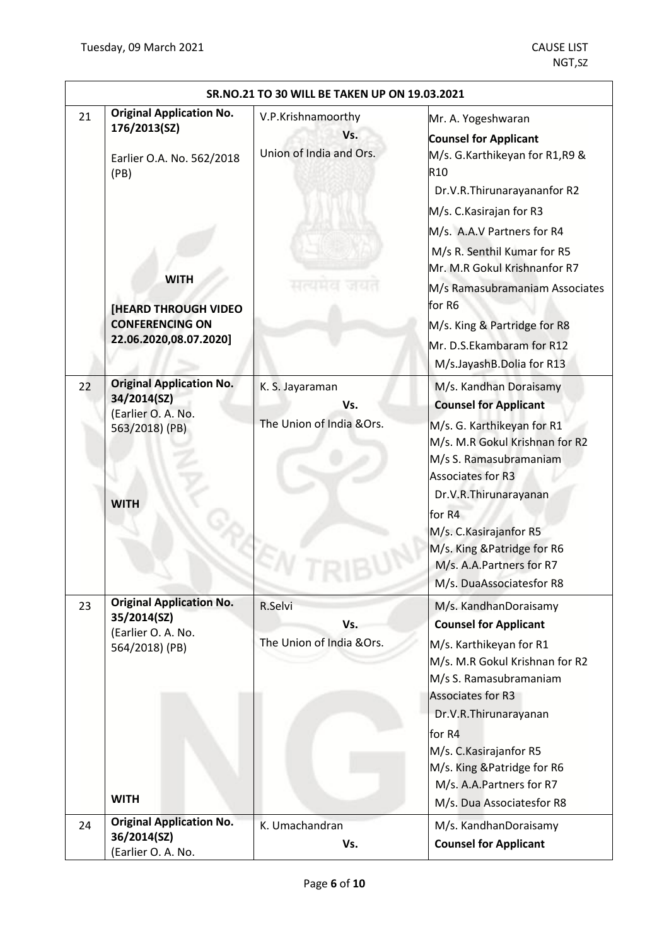|    | SR.NO.21 TO 30 WILL BE TAKEN UP ON 19.03.2021                                                                                                                                          |                                                      |                                                                                                                                                                                                                                                                                                                                                                                                       |  |
|----|----------------------------------------------------------------------------------------------------------------------------------------------------------------------------------------|------------------------------------------------------|-------------------------------------------------------------------------------------------------------------------------------------------------------------------------------------------------------------------------------------------------------------------------------------------------------------------------------------------------------------------------------------------------------|--|
| 21 | <b>Original Application No.</b><br>176/2013(SZ)<br>Earlier O.A. No. 562/2018<br>(PB)<br><b>WITH</b><br><b>[HEARD THROUGH VIDEO</b><br><b>CONFERENCING ON</b><br>22.06.2020,08.07.2020] | V.P.Krishnamoorthy<br>Vs.<br>Union of India and Ors. | Mr. A. Yogeshwaran<br><b>Counsel for Applicant</b><br>M/s. G.Karthikeyan for R1,R9 &<br>R <sub>10</sub><br>Dr.V.R.Thirunarayananfor R2<br>M/s. C. Kasirajan for R3<br>M/s. A.A.V Partners for R4<br>M/s R. Senthil Kumar for R5<br>Mr. M.R Gokul Krishnanfor R7<br>M/s Ramasubramaniam Associates<br>for R6<br>M/s. King & Partridge for R8<br>Mr. D.S.Ekambaram for R12<br>M/s.JayashB.Dolia for R13 |  |
| 22 | <b>Original Application No.</b><br>34/2014(SZ)<br>(Earlier O. A. No.<br>563/2018) (PB)<br><b>WITH</b>                                                                                  | K. S. Jayaraman<br>Vs.<br>The Union of India &Ors.   | M/s. Kandhan Doraisamy<br><b>Counsel for Applicant</b><br>M/s. G. Karthikeyan for R1<br>M/s. M.R Gokul Krishnan for R2<br>M/s S. Ramasubramaniam<br>Associates for R3<br>Dr.V.R.Thirunarayanan<br>for R4<br>M/s. C. Kasirajanfor R5<br>M/s. King & Patridge for R6<br>M/s. A.A.Partners for R7<br>M/s. DuaAssociatesfor R8                                                                            |  |
| 23 | <b>Original Application No.</b><br>35/2014(SZ)<br>(Earlier O. A. No.<br>564/2018) (PB)<br><b>WITH</b>                                                                                  | R.Selvi<br>Vs.<br>The Union of India & Ors.          | M/s. KandhanDoraisamy<br><b>Counsel for Applicant</b><br>M/s. Karthikeyan for R1<br>M/s. M.R Gokul Krishnan for R2<br>M/s S. Ramasubramaniam<br>Associates for R3<br>Dr.V.R.Thirunarayanan<br>for R4<br>M/s. C.Kasirajanfor R5<br>M/s. King & Patridge for R6<br>M/s. A.A.Partners for R7<br>M/s. Dua Associatesfor R8                                                                                |  |
| 24 | <b>Original Application No.</b><br>36/2014(SZ)<br>(Earlier O. A. No.                                                                                                                   | K. Umachandran<br>Vs.                                | M/s. KandhanDoraisamy<br><b>Counsel for Applicant</b>                                                                                                                                                                                                                                                                                                                                                 |  |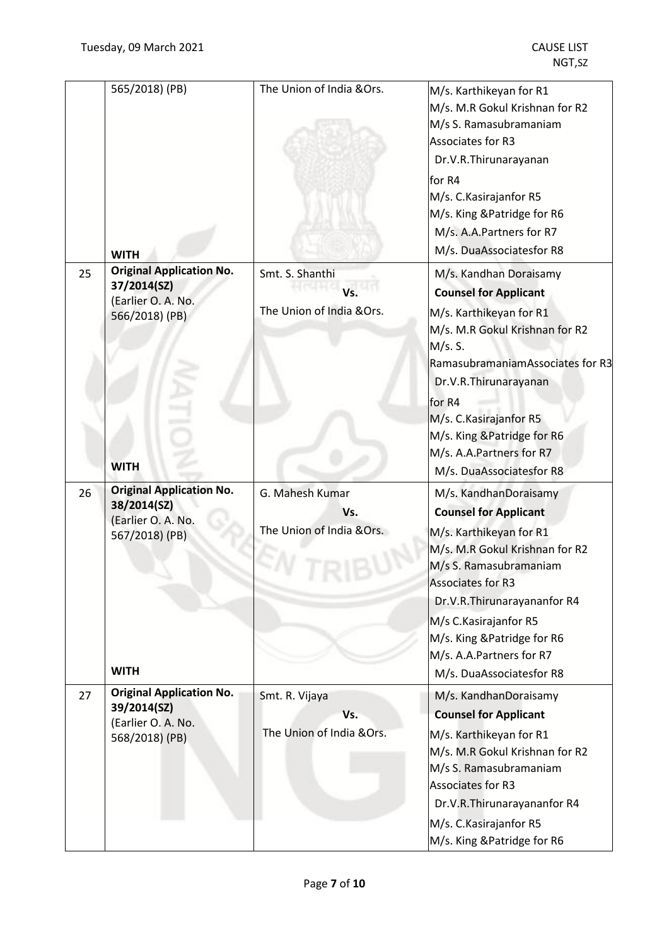|    | 565/2018) (PB)<br><b>WITH</b>                                                                         | The Union of India & Ors.                           | M/s. Karthikeyan for R1<br>M/s. M.R Gokul Krishnan for R2<br>M/s S. Ramasubramaniam<br>Associates for R3<br>Dr.V.R.Thirunarayanan<br>for R4<br>M/s. C. Kasirajanfor R5<br>M/s. King & Patridge for R6<br>M/s. A.A.Partners for R7<br>M/s. DuaAssociatesfor R8                                                           |
|----|-------------------------------------------------------------------------------------------------------|-----------------------------------------------------|-------------------------------------------------------------------------------------------------------------------------------------------------------------------------------------------------------------------------------------------------------------------------------------------------------------------------|
| 25 | <b>Original Application No.</b><br>37/2014(SZ)<br>(Earlier O. A. No.<br>566/2018) (PB)<br><b>WITH</b> | Smt. S. Shanthi<br>Vs.<br>The Union of India & Ors. | M/s. Kandhan Doraisamy<br><b>Counsel for Applicant</b><br>M/s. Karthikeyan for R1<br>M/s. M.R Gokul Krishnan for R2<br>M/s. S.<br>RamasubramaniamAssociates for R3<br>Dr.V.R.Thirunarayanan<br>for R4<br>M/s. C. Kasirajanfor R5<br>M/s. King & Patridge for R6<br>M/s. A.A.Partners for R7<br>M/s. DuaAssociatesfor R8 |
| 26 | <b>Original Application No.</b><br>38/2014(SZ)<br>(Earlier O. A. No.<br>567/2018) (PB)<br><b>WITH</b> | G. Mahesh Kumar<br>Vs.<br>The Union of India & Ors. | M/s. KandhanDoraisamy<br><b>Counsel for Applicant</b><br>M/s. Karthikeyan for R1<br>M/s. M.R Gokul Krishnan for R2<br>M/s S. Ramasubramaniam<br>Associates for R3<br>Dr.V.R.Thirunarayananfor R4<br>M/s C.Kasirajanfor R5<br>M/s. King & Patridge for R6<br>M/s. A.A.Partners for R7<br>M/s. DuaAssociatesfor R8        |
| 27 | <b>Original Application No.</b><br>39/2014(SZ)<br>(Earlier O. A. No.<br>568/2018) (PB)                | Smt. R. Vijaya<br>Vs.<br>The Union of India &Ors.   | M/s. KandhanDoraisamy<br><b>Counsel for Applicant</b><br>M/s. Karthikeyan for R1<br>M/s. M.R Gokul Krishnan for R2<br>M/s S. Ramasubramaniam<br>Associates for R3<br>Dr.V.R.Thirunarayananfor R4<br>M/s. C. Kasirajanfor R5<br>M/s. King & Patridge for R6                                                              |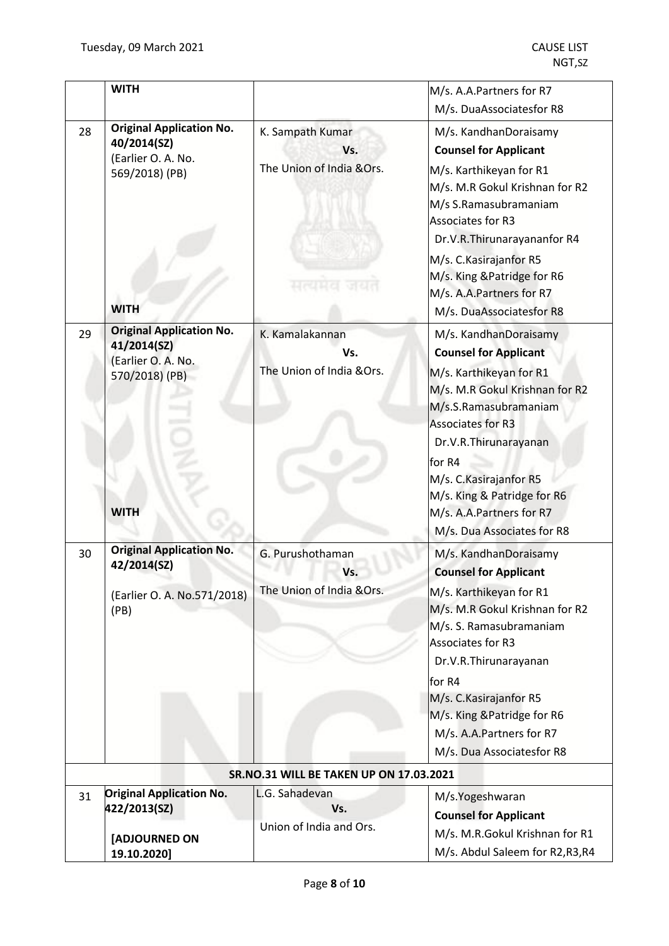| <b>WITH</b>                       |                                                                         |                                                               | M/s. A.A.Partners for R7                                                                                                                                                                                                                                                                                                      |
|-----------------------------------|-------------------------------------------------------------------------|---------------------------------------------------------------|-------------------------------------------------------------------------------------------------------------------------------------------------------------------------------------------------------------------------------------------------------------------------------------------------------------------------------|
|                                   |                                                                         |                                                               | M/s. DuaAssociatesfor R8                                                                                                                                                                                                                                                                                                      |
| 28<br>40/2014(SZ)<br><b>WITH</b>  | <b>Original Application No.</b><br>(Earlier O. A. No.<br>569/2018) (PB) | K. Sampath Kumar<br>Vs.<br>The Union of India &Ors.<br>मत्वमत | M/s. KandhanDoraisamy<br><b>Counsel for Applicant</b><br>M/s. Karthikeyan for R1<br>M/s. M.R Gokul Krishnan for R2<br>M/s S.Ramasubramaniam<br>Associates for R3<br>Dr.V.R.Thirunarayananfor R4<br>M/s. C. Kasirajanfor R5<br>M/s. King & Patridge for R6<br>M/s. A.A.Partners for R7<br>M/s. DuaAssociatesfor R8             |
| 29<br>41/2014(SZ)<br><b>WITH</b>  | <b>Original Application No.</b><br>(Earlier O. A. No.<br>570/2018) (PB) | K. Kamalakannan<br>Vs.<br>The Union of India & Ors.           | M/s. KandhanDoraisamy<br><b>Counsel for Applicant</b><br>M/s. Karthikeyan for R1<br>M/s. M.R Gokul Krishnan for R2<br>M/s.S.Ramasubramaniam<br><b>Associates for R3</b><br>Dr.V.R.Thirunarayanan<br>for R4<br>M/s. C.Kasirajanfor R5<br>M/s. King & Patridge for R6<br>M/s. A.A.Partners for R7<br>M/s. Dua Associates for R8 |
| 30<br>42/2014(SZ)<br>(PB)         | <b>Original Application No.</b><br>(Earlier O. A. No.571/2018)          | G. Purushothaman<br>Vs.<br>The Union of India & Ors.          | M/s. KandhanDoraisamy<br><b>Counsel for Applicant</b><br>M/s. Karthikeyan for R1<br>M/s. M.R Gokul Krishnan for R2<br>M/s. S. Ramasubramaniam<br>Associates for R3<br>Dr.V.R.Thirunarayanan<br>for R4<br>M/s. C. Kasirajanfor R5<br>M/s. King & Patridge for R6<br>M/s. A.A.Partners for R7<br>M/s. Dua Associatesfor R8      |
|                                   |                                                                         | SR.NO.31 WILL BE TAKEN UP ON 17.03.2021                       |                                                                                                                                                                                                                                                                                                                               |
| 31<br>422/2013(SZ)<br>19.10.2020] | <b>Original Application No.</b><br>[ADJOURNED ON                        | L.G. Sahadevan<br>Vs.<br>Union of India and Ors.              | M/s.Yogeshwaran<br><b>Counsel for Applicant</b><br>M/s. M.R.Gokul Krishnan for R1<br>M/s. Abdul Saleem for R2,R3,R4                                                                                                                                                                                                           |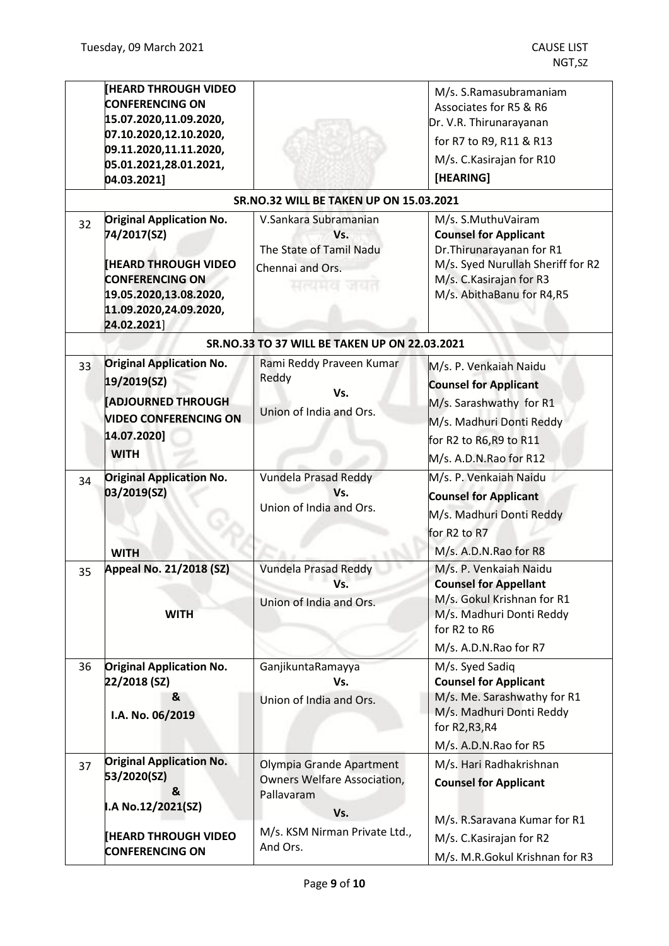|    | <b>IHEARD THROUGH VIDEO</b><br><b>CONFERENCING ON</b><br>15.07.2020,11.09.2020,<br>07.10.2020,12.10.2020,<br>09.11.2020,11.11.2020,<br>05.01.2021,28.01.2021,<br>04.03.2021] |                                                                                           | M/s. S.Ramasubramaniam<br>Associates for R5 & R6<br>Dr. V.R. Thirunarayanan<br>for R7 to R9, R11 & R13<br>M/s. C. Kasirajan for R10<br>[HEARING]                              |
|----|------------------------------------------------------------------------------------------------------------------------------------------------------------------------------|-------------------------------------------------------------------------------------------|-------------------------------------------------------------------------------------------------------------------------------------------------------------------------------|
|    |                                                                                                                                                                              | SR.NO.32 WILL BE TAKEN UP ON 15.03.2021                                                   |                                                                                                                                                                               |
| 32 | <b>Original Application No.</b><br>74/2017(SZ)<br><b>[HEARD THROUGH VIDEO</b><br><b>CONFERENCING ON</b><br>19.05.2020,13.08.2020,<br>11.09.2020,24.09.2020,<br>24.02.2021]   | V.Sankara Subramanian<br>Vs.<br>The State of Tamil Nadu<br>Chennai and Ors.<br>सत्यमव जयत | M/s. S.MuthuVairam<br><b>Counsel for Applicant</b><br>Dr. Thirunarayanan for R1<br>M/s. Syed Nurullah Sheriff for R2<br>M/s. C. Kasirajan for R3<br>M/s. AbithaBanu for R4,R5 |
|    |                                                                                                                                                                              | SR.NO.33 TO 37 WILL BE TAKEN UP ON 22.03.2021                                             |                                                                                                                                                                               |
| 33 | <b>Original Application No.</b><br>19/2019(SZ)<br><b>ADJOURNED THROUGH</b><br><b>VIDEO CONFERENCING ON</b><br>14.07.2020]<br><b>WITH</b>                                     | Rami Reddy Praveen Kumar<br>Reddy<br>Vs.<br>Union of India and Ors.                       | M/s. P. Venkaiah Naidu<br><b>Counsel for Applicant</b><br>M/s. Sarashwathy for R1<br>M/s. Madhuri Donti Reddy<br>for R2 to R6,R9 to R11<br>M/s. A.D.N.Rao for R12             |
| 34 | <b>Original Application No.</b><br>03/2019(SZ)<br><b>WITH</b>                                                                                                                | Vundela Prasad Reddy<br>Vs.<br>Union of India and Ors.                                    | M/s. P. Venkaiah Naidu<br><b>Counsel for Applicant</b><br>M/s. Madhuri Donti Reddy<br>for R <sub>2</sub> to R <sub>7</sub><br>M/s. A.D.N.Rao for R8                           |
| 35 | Appeal No. 21/2018 (SZ)<br><b>WITH</b>                                                                                                                                       | <b>Vundela Prasad Reddy</b><br>Vs.<br>Union of India and Ors.                             | M/s. P. Venkaiah Naidu<br><b>Counsel for Appellant</b><br>M/s. Gokul Krishnan for R1<br>M/s. Madhuri Donti Reddy<br>for R2 to R6<br>M/s. A.D.N.Rao for R7                     |
| 36 | <b>Original Application No.</b><br>22/2018 (SZ)<br>&<br>I.A. No. 06/2019                                                                                                     | GanjikuntaRamayya<br>Vs.<br>Union of India and Ors.                                       | M/s. Syed Sadiq<br><b>Counsel for Applicant</b><br>M/s. Me. Sarashwathy for R1<br>M/s. Madhuri Donti Reddy<br>for R2, R3, R4<br>M/s. A.D.N.Rao for R5                         |
| 37 | <b>Original Application No.</b><br>53/2020(SZ)<br>&<br>I.A No.12/2021(SZ)                                                                                                    | Olympia Grande Apartment<br><b>Owners Welfare Association,</b><br>Pallavaram<br>Vs.       | M/s. Hari Radhakrishnan<br><b>Counsel for Applicant</b><br>M/s. R.Saravana Kumar for R1                                                                                       |
|    | <b>HEARD THROUGH VIDEO</b><br><b>CONFERENCING ON</b>                                                                                                                         | M/s. KSM Nirman Private Ltd.,<br>And Ors.                                                 | M/s. C. Kasirajan for R2<br>M/s. M.R.Gokul Krishnan for R3                                                                                                                    |